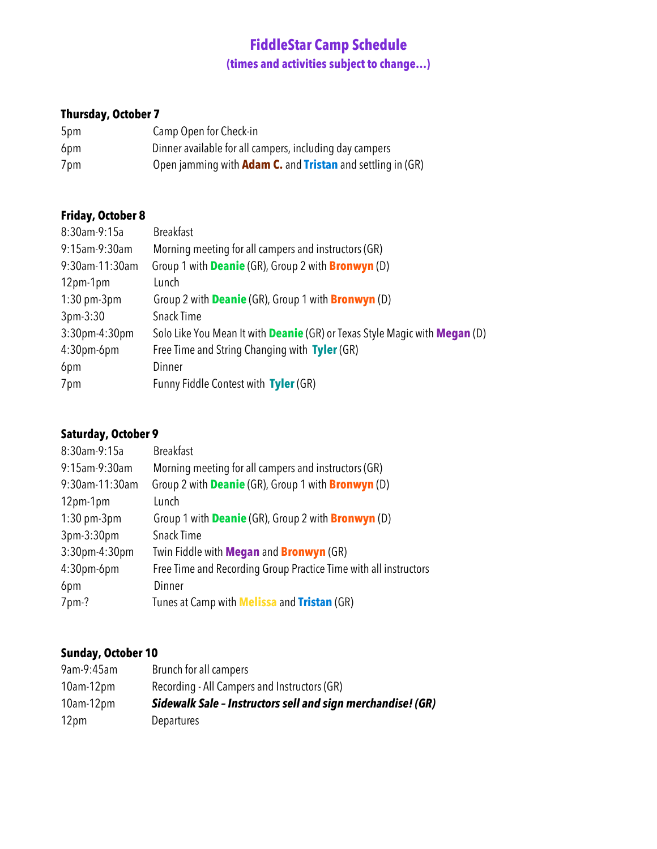# **FiddleStar Camp Schedule (times and activities subject to change…)**

## **Thursday, October 7**

| 5pm | Camp Open for Check-in                                                   |
|-----|--------------------------------------------------------------------------|
| 6pm | Dinner available for all campers, including day campers                  |
| 7pm | Open jamming with <b>Adam C.</b> and <b>Tristan</b> and settling in (GR) |

## **Friday, October 8**

| <b>Breakfast</b>                                                                         |
|------------------------------------------------------------------------------------------|
| Morning meeting for all campers and instructors (GR)                                     |
| Group 1 with <b>Deanie</b> (GR), Group 2 with <b>Bronwyn</b> (D)                         |
| Lunch                                                                                    |
| Group 2 with <b>Deanie</b> (GR), Group 1 with <b>Bronwyn</b> (D)                         |
| Snack Time                                                                               |
| Solo Like You Mean It with <b>Deanie</b> (GR) or Texas Style Magic with <b>Megan</b> (D) |
| Free Time and String Changing with Tyler (GR)                                            |
| Dinner                                                                                   |
| Funny Fiddle Contest with Tyler (GR)                                                     |
|                                                                                          |

## **Saturday, October 9**

| 8:30am-9:15a      | <b>Breakfast</b>                                                 |
|-------------------|------------------------------------------------------------------|
| 9:15am-9:30am     | Morning meeting for all campers and instructors (GR)             |
| 9:30am-11:30am    | Group 2 with <b>Deanie</b> (GR), Group 1 with <b>Bronwyn</b> (D) |
| $12pm-1pm$        | Lunch                                                            |
| $1:30$ pm- $3$ pm | Group 1 with <b>Deanie</b> (GR), Group 2 with <b>Bronwyn</b> (D) |
| 3pm-3:30pm        | Snack Time                                                       |
| 3:30pm-4:30pm     | Twin Fiddle with Megan and Bronwyn (GR)                          |
| $4:30$ pm-6pm     | Free Time and Recording Group Practice Time with all instructors |
| 6pm               | Dinner                                                           |
| 7pm-?             | Tunes at Camp with <b>Melissa</b> and <b>Tristan</b> (GR)        |
|                   |                                                                  |

## **Sunday, October 10**

| 9am-9:45am       | Brunch for all campers                                      |
|------------------|-------------------------------------------------------------|
| $10$ am- $12$ pm | Recording - All Campers and Instructors (GR)                |
| $10$ am $-12$ pm | Sidewalk Sale - Instructors sell and sign merchandise! (GR) |
| 12pm             | <b>Departures</b>                                           |